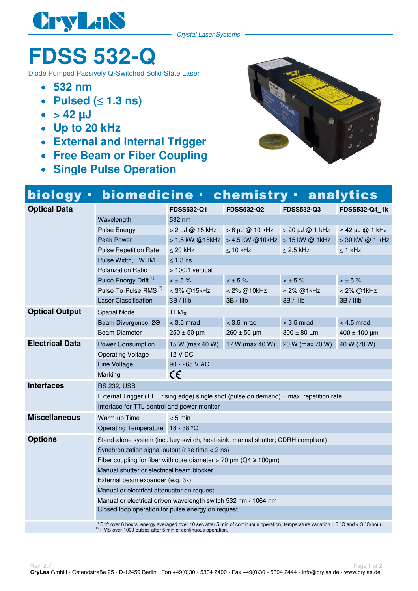

Crystal Laser Systems

## **FDSS 532-Q**

Diode Pumped Passively Q-Switched Solid State Laser

- **532 nm**
- **Pulsed (** $\leq$  **1.3 ns)**  $\bullet$
- $\bullet$  > 42  $\mu$ J
- **Up to 20 kHz**
- **External and Internal Trigger**
- **Free Beam or Fiber Coupling**
- **Single Pulse Operation**



| <b>biology</b>                                                          | biomedicine ·                                                                                                                                    |                           | chemistry ·                                    |                        | <b>analytics</b> |  |  |
|-------------------------------------------------------------------------|--------------------------------------------------------------------------------------------------------------------------------------------------|---------------------------|------------------------------------------------|------------------------|------------------|--|--|
| <b>Optical Data</b>                                                     |                                                                                                                                                  | <b>FDSS532-Q1</b>         | <b>FDSS532-Q2</b>                              | <b>FDSS532-Q3</b>      | FDSS532-Q4_1k    |  |  |
|                                                                         | Wavelength                                                                                                                                       | 532 nm                    |                                                |                        |                  |  |  |
|                                                                         | <b>Pulse Energy</b>                                                                                                                              | $> 2 \mu J \omega 15 kHz$ | $> 6 \mu J$ @ 10 kHz                           | $>$ 20 $\mu$ J @ 1 kHz | > 42 µJ @ 1 kHz  |  |  |
|                                                                         | <b>Peak Power</b>                                                                                                                                |                           | > 1.5 kW @15kHz > 4.5 kW @10kHz > 15 kW @ 1kHz |                        | > 30 kW @ 1 kHz  |  |  |
|                                                                         | <b>Pulse Repetition Rate</b>                                                                                                                     | $\leq$ 20 kHz             | $\leq 10$ kHz                                  | $\leq$ 2.5 kHz         | $\leq$ 1 kHz     |  |  |
|                                                                         | Pulse Width, FWHM                                                                                                                                | $\leq 1.3$ ns             |                                                |                        |                  |  |  |
|                                                                         | <b>Polarization Ratio</b>                                                                                                                        | > 100:1 vertical          |                                                |                        |                  |  |  |
|                                                                         | Pulse Energy Drift <sup>1)</sup>                                                                                                                 | $<$ $\pm$ 5 %             | $<$ $\pm$ 5%                                   | $<$ $\pm$ 5%           | $<$ $\pm$ 5 %    |  |  |
|                                                                         | Pulse-To-Pulse RMS <sup>2)</sup>                                                                                                                 | < 3% @15kHz               | < 2% @10kHz                                    | < 2% @1kHz             | < 2% @1kHz       |  |  |
|                                                                         | <b>Laser Classification</b>                                                                                                                      | 3B / Hlb                  | 3B / IIIb                                      | 3B / IIIb              | 3B / IIIb        |  |  |
| <b>Optical Output</b>                                                   | <b>Spatial Mode</b>                                                                                                                              | TEM <sub>00</sub>         |                                                |                        |                  |  |  |
|                                                                         | Beam Divergence, 20                                                                                                                              | $<$ 3.5 mrad              | $<$ 3.5 mrad                                   | $<$ 3.5 mrad           | $< 4.5$ mrad     |  |  |
|                                                                         | <b>Beam Diameter</b>                                                                                                                             | $250 \pm 50 \mu m$        | $260 \pm 50 \mu m$                             | $300 \pm 80$ µm        | $400 \pm 100$ µm |  |  |
| <b>Electrical Data</b>                                                  | <b>Power Consumption</b>                                                                                                                         | 15 W (max.40 W)           | 17 W (max.40 W)                                | 20 W (max.70 W)        | 40 W (70 W)      |  |  |
|                                                                         | <b>Operating Voltage</b>                                                                                                                         | 12 V DC                   |                                                |                        |                  |  |  |
|                                                                         | Line Voltage                                                                                                                                     | 90 - 265 V AC             |                                                |                        |                  |  |  |
|                                                                         | Marking                                                                                                                                          | C€                        |                                                |                        |                  |  |  |
| <b>Interfaces</b>                                                       | <b>RS 232, USB</b>                                                                                                                               |                           |                                                |                        |                  |  |  |
|                                                                         | External Trigger (TTL, rising edge) single shot (pulse on demand) – max. repetition rate                                                         |                           |                                                |                        |                  |  |  |
|                                                                         | Interface for TTL-control and power monitor                                                                                                      |                           |                                                |                        |                  |  |  |
| <b>Miscellaneous</b>                                                    | Warm-up Time<br>$< 5$ min                                                                                                                        |                           |                                                |                        |                  |  |  |
|                                                                         | Operating Temperature 18 - 38 °C                                                                                                                 |                           |                                                |                        |                  |  |  |
| <b>Options</b>                                                          | Stand-alone system (incl. key-switch, heat-sink, manual shutter; CDRH compliant)                                                                 |                           |                                                |                        |                  |  |  |
|                                                                         | Synchronization signal output (rise time $<$ 2 ns)                                                                                               |                           |                                                |                        |                  |  |  |
|                                                                         | Fiber coupling for fiber with core diameter > 70 $\mu$ m (Q4 $\geq$ 100 $\mu$ m)                                                                 |                           |                                                |                        |                  |  |  |
|                                                                         | Manual shutter or electrical beam blocker                                                                                                        |                           |                                                |                        |                  |  |  |
|                                                                         | External beam expander (e.g. 3x)                                                                                                                 |                           |                                                |                        |                  |  |  |
|                                                                         | Manual or electrical attenuator on request                                                                                                       |                           |                                                |                        |                  |  |  |
|                                                                         | Manual or electrical driven wavelength switch 532 nm / 1064 nm                                                                                   |                           |                                                |                        |                  |  |  |
|                                                                         | Closed loop operation for pulse energy on request                                                                                                |                           |                                                |                        |                  |  |  |
|                                                                         | <sup>1)</sup> Drift over 6 hours, energy averaged over 10 sec after 5 min of continuous operation, temperature variation ± 3 °C and < 3 °C/hour. |                           |                                                |                        |                  |  |  |
| <sup>2)</sup> RMS over 1000 pulses after 5 min of continuous operation. |                                                                                                                                                  |                           |                                                |                        |                  |  |  |